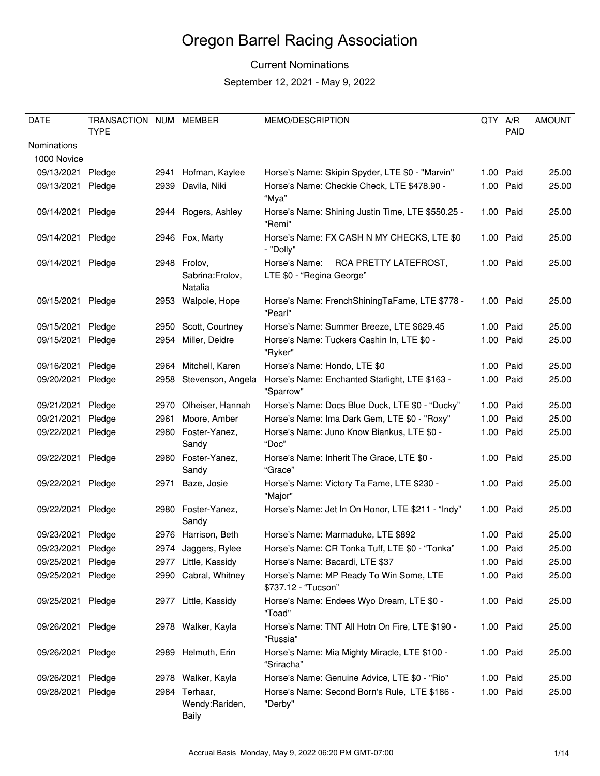### Current Nominations

| <b>DATE</b>       | TRANSACTION NUM MEMBER<br><b>TYPE</b> |      |                                            | MEMO/DESCRIPTION                                                    | QTY A/R | PAID      | <b>AMOUNT</b> |
|-------------------|---------------------------------------|------|--------------------------------------------|---------------------------------------------------------------------|---------|-----------|---------------|
| Nominations       |                                       |      |                                            |                                                                     |         |           |               |
| 1000 Novice       |                                       |      |                                            |                                                                     |         |           |               |
| 09/13/2021        | Pledge                                |      | 2941 Hofman, Kaylee                        | Horse's Name: Skipin Spyder, LTE \$0 - "Marvin"                     |         | 1.00 Paid | 25.00         |
| 09/13/2021        | Pledge                                | 2939 | Davila, Niki                               | Horse's Name: Checkie Check, LTE \$478.90 -                         |         | 1.00 Paid | 25.00         |
|                   |                                       |      |                                            | "Mya"                                                               |         |           |               |
| 09/14/2021        | Pledge                                |      | 2944 Rogers, Ashley                        | Horse's Name: Shining Justin Time, LTE \$550.25 -<br>"Remi"         |         | 1.00 Paid | 25.00         |
| 09/14/2021        | Pledge                                |      | 2946 Fox, Marty                            | Horse's Name: FX CASH N MY CHECKS, LTE \$0<br>- "Dolly"             |         | 1.00 Paid | 25.00         |
| 09/14/2021 Pledge |                                       |      | 2948 Frolov,<br>Sabrina:Frolov,<br>Natalia | Horse's Name:<br>RCA PRETTY LATEFROST,<br>LTE \$0 - "Regina George" |         | 1.00 Paid | 25.00         |
| 09/15/2021        | Pledge                                |      | 2953 Walpole, Hope                         | Horse's Name: FrenchShiningTaFame, LTE \$778 -<br>"Pearl"           |         | 1.00 Paid | 25.00         |
| 09/15/2021        | Pledge                                |      | 2950 Scott, Courtney                       | Horse's Name: Summer Breeze, LTE \$629.45                           |         | 1.00 Paid | 25.00         |
| 09/15/2021        | Pledge                                |      | 2954 Miller, Deidre                        | Horse's Name: Tuckers Cashin In, LTE \$0 -<br>"Ryker"               |         | 1.00 Paid | 25.00         |
| 09/16/2021        | Pledge                                |      | 2964 Mitchell, Karen                       | Horse's Name: Hondo, LTE \$0                                        |         | 1.00 Paid | 25.00         |
| 09/20/2021        | Pledge                                | 2958 | Stevenson, Angela                          | Horse's Name: Enchanted Starlight, LTE \$163 -<br>"Sparrow"         |         | 1.00 Paid | 25.00         |
| 09/21/2021        | Pledge                                | 2970 | Olheiser, Hannah                           | Horse's Name: Docs Blue Duck, LTE \$0 - "Ducky"                     |         | 1.00 Paid | 25.00         |
| 09/21/2021        | Pledge                                | 2961 | Moore, Amber                               | Horse's Name: Ima Dark Gem, LTE \$0 - "Roxy"                        |         | 1.00 Paid | 25.00         |
| 09/22/2021        | Pledge                                | 2980 | Foster-Yanez,<br>Sandy                     | Horse's Name: Juno Know Biankus, LTE \$0 -<br>"Doc"                 |         | 1.00 Paid | 25.00         |
| 09/22/2021        | Pledge                                |      | 2980 Foster-Yanez,<br>Sandy                | Horse's Name: Inherit The Grace, LTE \$0 -<br>"Grace"               |         | 1.00 Paid | 25.00         |
| 09/22/2021        | Pledge                                |      | 2971 Baze, Josie                           | Horse's Name: Victory Ta Fame, LTE \$230 -<br>"Major"               |         | 1.00 Paid | 25.00         |
| 09/22/2021        | Pledge                                |      | 2980 Foster-Yanez,<br>Sandy                | Horse's Name: Jet In On Honor, LTE \$211 - "Indy"                   |         | 1.00 Paid | 25.00         |
| 09/23/2021        | Pledge                                |      | 2976 Harrison, Beth                        | Horse's Name: Marmaduke, LTE \$892                                  |         | 1.00 Paid | 25.00         |
| 09/23/2021        | Pledge                                |      | 2974 Jaggers, Rylee                        | Horse's Name: CR Tonka Tuff, LTE \$0 - "Tonka"                      |         | 1.00 Paid | 25.00         |
| 09/25/2021        | Pledge                                |      | 2977 Little, Kassidy                       | Horse's Name: Bacardi, LTE \$37                                     |         | 1.00 Paid | 25.00         |
| 09/25/2021        | Pledge                                |      | 2990 Cabral, Whitney                       | Horse's Name: MP Ready To Win Some, LTE<br>\$737.12 - "Tucson"      |         | 1.00 Paid | 25.00         |
| 09/25/2021        | Pledge                                |      | 2977 Little, Kassidy                       | Horse's Name: Endees Wyo Dream, LTE \$0 -<br>"Toad"                 |         | 1.00 Paid | 25.00         |
| 09/26/2021        | Pledge                                |      | 2978 Walker, Kayla                         | Horse's Name: TNT All Hotn On Fire, LTE \$190 -<br>"Russia"         |         | 1.00 Paid | 25.00         |
| 09/26/2021        | Pledge                                |      | 2989 Helmuth, Erin                         | Horse's Name: Mia Mighty Miracle, LTE \$100 -<br>"Sriracha"         |         | 1.00 Paid | 25.00         |
| 09/26/2021        | Pledge                                |      | 2978 Walker, Kayla                         | Horse's Name: Genuine Advice, LTE \$0 - "Rio"                       |         | 1.00 Paid | 25.00         |
| 09/28/2021        | Pledge                                |      | 2984 Terhaar,<br>Wendy: Rariden,<br>Baily  | Horse's Name: Second Born's Rule, LTE \$186 -<br>"Derby"            |         | 1.00 Paid | 25.00         |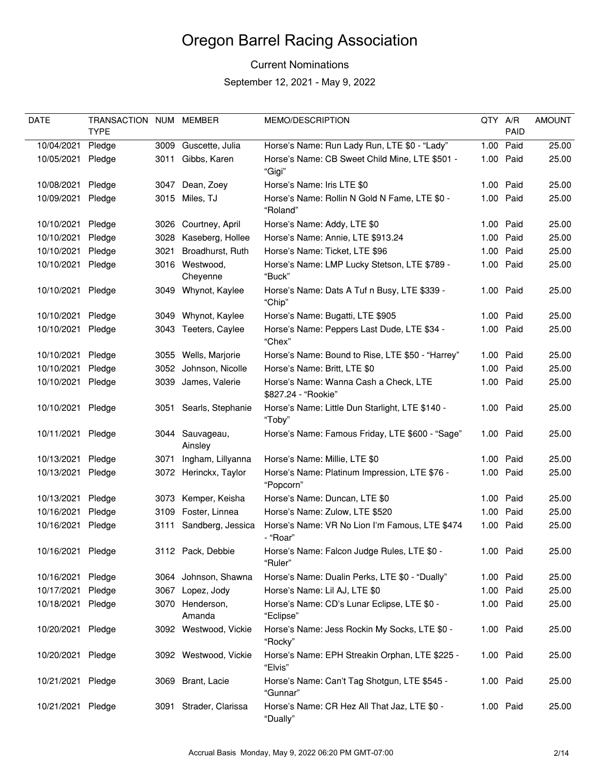### Current Nominations

| <b>DATE</b>       | TRANSACTION NUM MEMBER |      |                            | <b>MEMO/DESCRIPTION</b>                                      | QTY A/R |           | <b>AMOUNT</b> |
|-------------------|------------------------|------|----------------------------|--------------------------------------------------------------|---------|-----------|---------------|
|                   | <b>TYPE</b>            |      |                            |                                                              |         | PAID      |               |
| 10/04/2021        | Pledge                 |      | 3009 Guscette, Julia       | Horse's Name: Run Lady Run, LTE \$0 - "Lady"                 | 1.00    | Paid      | 25.00         |
| 10/05/2021        | Pledge                 |      | 3011 Gibbs, Karen          | Horse's Name: CB Sweet Child Mine, LTE \$501 -<br>"Gigi"     |         | 1.00 Paid | 25.00         |
| 10/08/2021        | Pledge                 | 3047 | Dean, Zoey                 | Horse's Name: Iris LTE \$0                                   |         | 1.00 Paid | 25.00         |
| 10/09/2021        | Pledge                 |      | 3015 Miles, TJ             | Horse's Name: Rollin N Gold N Fame, LTE \$0 -<br>"Roland"    |         | 1.00 Paid | 25.00         |
| 10/10/2021        | Pledge                 |      | 3026 Courtney, April       | Horse's Name: Addy, LTE \$0                                  |         | 1.00 Paid | 25.00         |
| 10/10/2021        | Pledge                 |      | 3028 Kaseberg, Hollee      | Horse's Name: Annie, LTE \$913.24                            |         | 1.00 Paid | 25.00         |
| 10/10/2021        | Pledge                 | 3021 | Broadhurst, Ruth           | Horse's Name: Ticket, LTE \$96                               |         | 1.00 Paid | 25.00         |
| 10/10/2021        | Pledge                 |      | 3016 Westwood,<br>Cheyenne | Horse's Name: LMP Lucky Stetson, LTE \$789 -<br>"Buck"       |         | 1.00 Paid | 25.00         |
| 10/10/2021        | Pledge                 |      | 3049 Whynot, Kaylee        | Horse's Name: Dats A Tuf n Busy, LTE \$339 -<br>"Chip"       |         | 1.00 Paid | 25.00         |
| 10/10/2021        | Pledge                 |      | 3049 Whynot, Kaylee        | Horse's Name: Bugatti, LTE \$905                             |         | 1.00 Paid | 25.00         |
| 10/10/2021        | Pledge                 |      | 3043 Teeters, Caylee       | Horse's Name: Peppers Last Dude, LTE \$34 -<br>"Chex"        |         | 1.00 Paid | 25.00         |
| 10/10/2021        | Pledge                 |      | 3055 Wells, Marjorie       | Horse's Name: Bound to Rise, LTE \$50 - "Harrey"             |         | 1.00 Paid | 25.00         |
| 10/10/2021        | Pledge                 |      | 3052 Johnson, Nicolle      | Horse's Name: Britt, LTE \$0                                 |         | 1.00 Paid | 25.00         |
| 10/10/2021        | Pledge                 |      | 3039 James, Valerie        | Horse's Name: Wanna Cash a Check, LTE<br>\$827.24 - "Rookie" |         | 1.00 Paid | 25.00         |
| 10/10/2021        | Pledge                 |      | 3051 Searls, Stephanie     | Horse's Name: Little Dun Starlight, LTE \$140 -<br>"Toby"    |         | 1.00 Paid | 25.00         |
| 10/11/2021        | Pledge                 |      | 3044 Sauvageau,<br>Ainsley | Horse's Name: Famous Friday, LTE \$600 - "Sage"              |         | 1.00 Paid | 25.00         |
| 10/13/2021        | Pledge                 | 3071 | Ingham, Lillyanna          | Horse's Name: Millie, LTE \$0                                |         | 1.00 Paid | 25.00         |
| 10/13/2021        | Pledge                 |      | 3072 Herinckx, Taylor      | Horse's Name: Platinum Impression, LTE \$76 -<br>"Popcorn"   |         | 1.00 Paid | 25.00         |
| 10/13/2021        | Pledge                 |      | 3073 Kemper, Keisha        | Horse's Name: Duncan, LTE \$0                                |         | 1.00 Paid | 25.00         |
| 10/16/2021        | Pledge                 |      | 3109 Foster, Linnea        | Horse's Name: Zulow, LTE \$520                               |         | 1.00 Paid | 25.00         |
| 10/16/2021        | Pledge                 |      | 3111 Sandberg, Jessica     | Horse's Name: VR No Lion I'm Famous, LTE \$474<br>- "Roar"   |         | 1.00 Paid | 25.00         |
| 10/16/2021 Pledge |                        |      | 3112 Pack, Debbie          | Horse's Name: Falcon Judge Rules, LTE \$0 -<br>"Ruler"       |         | 1.00 Paid | 25.00         |
| 10/16/2021        | Pledge                 |      | 3064 Johnson, Shawna       | Horse's Name: Dualin Perks, LTE \$0 - "Dually"               |         | 1.00 Paid | 25.00         |
| 10/17/2021        | Pledge                 |      | 3067 Lopez, Jody           | Horse's Name: Lil AJ, LTE \$0                                |         | 1.00 Paid | 25.00         |
| 10/18/2021        | Pledge                 |      | 3070 Henderson,<br>Amanda  | Horse's Name: CD's Lunar Eclipse, LTE \$0 -<br>"Eclipse"     |         | 1.00 Paid | 25.00         |
| 10/20/2021        | Pledge                 |      | 3092 Westwood, Vickie      | Horse's Name: Jess Rockin My Socks, LTE \$0 -<br>"Rocky"     |         | 1.00 Paid | 25.00         |
| 10/20/2021        | Pledge                 |      | 3092 Westwood, Vickie      | Horse's Name: EPH Streakin Orphan, LTE \$225 -<br>"Elvis"    |         | 1.00 Paid | 25.00         |
| 10/21/2021        | Pledge                 |      | 3069 Brant, Lacie          | Horse's Name: Can't Tag Shotgun, LTE \$545 -<br>"Gunnar"     |         | 1.00 Paid | 25.00         |
| 10/21/2021 Pledge |                        |      | 3091 Strader, Clarissa     | Horse's Name: CR Hez All That Jaz, LTE \$0 -<br>"Dually"     |         | 1.00 Paid | 25.00         |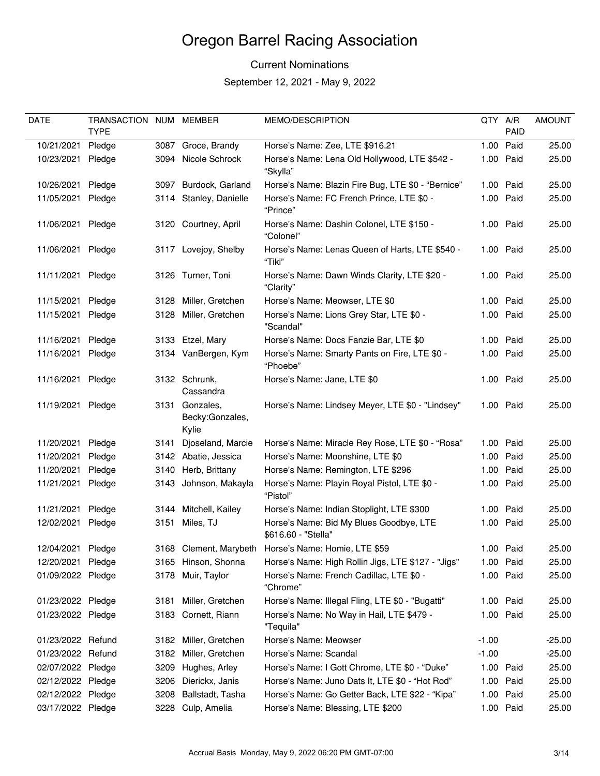### Current Nominations

| DATE              | TRANSACTION NUM MEMBER |      |                                             | MEMO/DESCRIPTION                                               | QTY A/R |             | <b>AMOUNT</b> |
|-------------------|------------------------|------|---------------------------------------------|----------------------------------------------------------------|---------|-------------|---------------|
|                   | <b>TYPE</b>            |      |                                             |                                                                |         | <b>PAID</b> |               |
| 10/21/2021        | Pledge                 |      | 3087 Groce, Brandy                          | Horse's Name: Zee, LTE \$916.21                                | 1.00    | Paid        | 25.00         |
| 10/23/2021        | Pledge                 |      | 3094 Nicole Schrock                         | Horse's Name: Lena Old Hollywood, LTE \$542 -<br>"Skylla"      |         | 1.00 Paid   | 25.00         |
| 10/26/2021        | Pledge                 |      | 3097 Burdock, Garland                       | Horse's Name: Blazin Fire Bug, LTE \$0 - "Bernice"             |         | 1.00 Paid   | 25.00         |
| 11/05/2021        | Pledge                 |      | 3114 Stanley, Danielle                      | Horse's Name: FC French Prince, LTE \$0 -<br>"Prince"          |         | 1.00 Paid   | 25.00         |
| 11/06/2021        | Pledge                 |      | 3120 Courtney, April                        | Horse's Name: Dashin Colonel, LTE \$150 -<br>"Colonel"         |         | 1.00 Paid   | 25.00         |
| 11/06/2021        | Pledge                 |      | 3117 Lovejoy, Shelby                        | Horse's Name: Lenas Queen of Harts, LTE \$540 -<br>"Tiki"      |         | 1.00 Paid   | 25.00         |
| 11/11/2021        | Pledge                 |      | 3126 Turner, Toni                           | Horse's Name: Dawn Winds Clarity, LTE \$20 -<br>"Clarity"      |         | 1.00 Paid   | 25.00         |
| 11/15/2021        | Pledge                 | 3128 | Miller, Gretchen                            | Horse's Name: Meowser, LTE \$0                                 |         | 1.00 Paid   | 25.00         |
| 11/15/2021        | Pledge                 | 3128 | Miller, Gretchen                            | Horse's Name: Lions Grey Star, LTE \$0 -<br>"Scandal"          |         | 1.00 Paid   | 25.00         |
| 11/16/2021        | Pledge                 |      | 3133 Etzel, Mary                            | Horse's Name: Docs Fanzie Bar, LTE \$0                         |         | 1.00 Paid   | 25.00         |
| 11/16/2021        | Pledge                 |      | 3134 VanBergen, Kym                         | Horse's Name: Smarty Pants on Fire, LTE \$0 -<br>"Phoebe"      |         | 1.00 Paid   | 25.00         |
| 11/16/2021        | Pledge                 |      | 3132 Schrunk,<br>Cassandra                  | Horse's Name: Jane, LTE \$0                                    |         | 1.00 Paid   | 25.00         |
| 11/19/2021        | Pledge                 |      | 3131 Gonzales,<br>Becky: Gonzales,<br>Kylie | Horse's Name: Lindsey Meyer, LTE \$0 - "Lindsey"               |         | 1.00 Paid   | 25.00         |
| 11/20/2021        | Pledge                 | 3141 | Djoseland, Marcie                           | Horse's Name: Miracle Rey Rose, LTE \$0 - "Rosa"               |         | 1.00 Paid   | 25.00         |
| 11/20/2021        | Pledge                 |      | 3142 Abatie, Jessica                        | Horse's Name: Moonshine, LTE \$0                               |         | 1.00 Paid   | 25.00         |
| 11/20/2021        | Pledge                 |      | 3140 Herb, Brittany                         | Horse's Name: Remington, LTE \$296                             |         | 1.00 Paid   | 25.00         |
| 11/21/2021        | Pledge                 |      | 3143 Johnson, Makayla                       | Horse's Name: Playin Royal Pistol, LTE \$0 -<br>"Pistol"       |         | 1.00 Paid   | 25.00         |
| 11/21/2021        | Pledge                 |      | 3144 Mitchell, Kailey                       | Horse's Name: Indian Stoplight, LTE \$300                      |         | 1.00 Paid   | 25.00         |
| 12/02/2021        | Pledge                 | 3151 | Miles, TJ                                   | Horse's Name: Bid My Blues Goodbye, LTE<br>\$616.60 - "Stella" |         | 1.00 Paid   | 25.00         |
| 12/04/2021        | Pledae                 |      | 3168 Clement, Marybeth                      | Horse's Name: Homie, LTE \$59                                  |         | 1.00 Paid   | 25.00         |
| 12/20/2021        | Pledge                 |      | 3165 Hinson, Shonna                         | Horse's Name: High Rollin Jigs, LTE \$127 - "Jigs"             |         | 1.00 Paid   | 25.00         |
| 01/09/2022 Pledge |                        |      | 3178 Muir, Taylor                           | Horse's Name: French Cadillac, LTE \$0 -<br>"Chrome"           |         | 1.00 Paid   | 25.00         |
| 01/23/2022 Pledge |                        | 3181 | Miller, Gretchen                            | Horse's Name: Illegal Fling, LTE \$0 - "Bugatti"               |         | 1.00 Paid   | 25.00         |
| 01/23/2022 Pledge |                        |      | 3183 Cornett, Riann                         | Horse's Name: No Way in Hail, LTE \$479 -<br>"Tequila"         |         | 1.00 Paid   | 25.00         |
| 01/23/2022 Refund |                        |      | 3182 Miller, Gretchen                       | Horse's Name: Meowser                                          | $-1.00$ |             | $-25.00$      |
| 01/23/2022 Refund |                        | 3182 | Miller, Gretchen                            | Horse's Name: Scandal                                          | $-1.00$ |             | $-25.00$      |
| 02/07/2022 Pledge |                        | 3209 | Hughes, Arley                               | Horse's Name: I Gott Chrome, LTE \$0 - "Duke"                  |         | 1.00 Paid   | 25.00         |
| 02/12/2022 Pledge |                        | 3206 | Dierickx, Janis                             | Horse's Name: Juno Dats It, LTE \$0 - "Hot Rod"                |         | 1.00 Paid   | 25.00         |
| 02/12/2022 Pledge |                        | 3208 | Ballstadt, Tasha                            | Horse's Name: Go Getter Back, LTE \$22 - "Kipa"                |         | 1.00 Paid   | 25.00         |
| 03/17/2022 Pledge |                        | 3228 | Culp, Amelia                                | Horse's Name: Blessing, LTE \$200                              |         | 1.00 Paid   | 25.00         |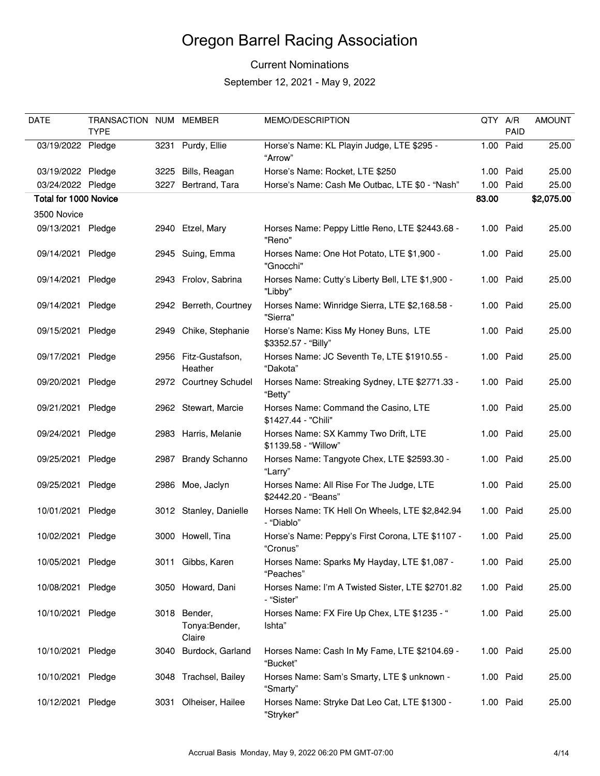### Current Nominations

| <b>DATE</b>           | TRANSACTION NUM MEMBER<br><b>TYPE</b> |      |                                         | MEMO/DESCRIPTION                                                | QTY A/R | PAID      | <b>AMOUNT</b> |
|-----------------------|---------------------------------------|------|-----------------------------------------|-----------------------------------------------------------------|---------|-----------|---------------|
| 03/19/2022 Pledge     |                                       |      | 3231 Purdy, Ellie                       | Horse's Name: KL Playin Judge, LTE \$295 -<br>"Arrow"           | 1.00    | Paid      | 25.00         |
| 03/19/2022 Pledge     |                                       | 3225 | Bills, Reagan                           | Horse's Name: Rocket, LTE \$250                                 |         | 1.00 Paid | 25.00         |
| 03/24/2022 Pledge     |                                       | 3227 | Bertrand, Tara                          | Horse's Name: Cash Me Outbac, LTE \$0 - "Nash"                  | 1.00    | Paid      | 25.00         |
| Total for 1000 Novice |                                       |      |                                         |                                                                 | 83.00   |           | \$2,075.00    |
| 3500 Novice           |                                       |      |                                         |                                                                 |         |           |               |
| 09/13/2021 Pledge     |                                       |      | 2940 Etzel, Mary                        | Horses Name: Peppy Little Reno, LTE \$2443.68 -<br>"Reno"       |         | 1.00 Paid | 25.00         |
| 09/14/2021            | Pledge                                |      | 2945 Suing, Emma                        | Horses Name: One Hot Potato, LTE \$1,900 -<br>"Gnocchi"         |         | 1.00 Paid | 25.00         |
| 09/14/2021            | Pledge                                |      | 2943 Frolov, Sabrina                    | Horses Name: Cutty's Liberty Bell, LTE \$1,900 -<br>"Libby"     |         | 1.00 Paid | 25.00         |
| 09/14/2021 Pledge     |                                       |      | 2942 Berreth, Courtney                  | Horses Name: Winridge Sierra, LTE \$2,168.58 -<br>"Sierra"      |         | 1.00 Paid | 25.00         |
| 09/15/2021            | Pledge                                |      | 2949 Chike, Stephanie                   | Horse's Name: Kiss My Honey Buns, LTE<br>\$3352.57 - "Billy"    |         | 1.00 Paid | 25.00         |
| 09/17/2021            | Pledge                                |      | 2956 Fitz-Gustafson,<br>Heather         | Horses Name: JC Seventh Te, LTE \$1910.55 -<br>"Dakota"         |         | 1.00 Paid | 25.00         |
| 09/20/2021            | Pledge                                |      | 2972 Courtney Schudel                   | Horses Name: Streaking Sydney, LTE \$2771.33 -<br>"Betty"       |         | 1.00 Paid | 25.00         |
| 09/21/2021            | Pledge                                |      | 2962 Stewart, Marcie                    | Horses Name: Command the Casino, LTE<br>\$1427.44 - "Chili"     |         | 1.00 Paid | 25.00         |
| 09/24/2021            | Pledge                                |      | 2983 Harris, Melanie                    | Horses Name: SX Kammy Two Drift, LTE<br>\$1139.58 - "Willow"    |         | 1.00 Paid | 25.00         |
| 09/25/2021            | Pledge                                |      | 2987 Brandy Schanno                     | Horses Name: Tangyote Chex, LTE \$2593.30 -<br>"Larry"          |         | 1.00 Paid | 25.00         |
| 09/25/2021            | Pledge                                |      | 2986 Moe, Jaclyn                        | Horses Name: All Rise For The Judge, LTE<br>\$2442.20 - "Beans" |         | 1.00 Paid | 25.00         |
| 10/01/2021            | Pledge                                |      | 3012 Stanley, Danielle                  | Horses Name: TK Hell On Wheels, LTE \$2,842.94<br>- "Diablo"    |         | 1.00 Paid | 25.00         |
| 10/02/2021            | Pledge                                |      | 3000 Howell, Tina                       | Horse's Name: Peppy's First Corona, LTE \$1107 -<br>"Cronus"    |         | 1.00 Paid | 25.00         |
| 10/05/2021            | Pledge                                |      | 3011 Gibbs, Karen                       | Horses Name: Sparks My Hayday, LTE \$1,087 -<br>"Peaches"       |         | 1.00 Paid | 25.00         |
| 10/08/2021            | Pledge                                |      | 3050 Howard, Dani                       | Horses Name: I'm A Twisted Sister, LTE \$2701.82<br>- "Sister"  |         | 1.00 Paid | 25.00         |
| 10/10/2021            | Pledge                                |      | 3018 Bender,<br>Tonya:Bender,<br>Claire | Horses Name: FX Fire Up Chex, LTE \$1235 - "<br>Ishta"          |         | 1.00 Paid | 25.00         |
| 10/10/2021            | Pledge                                | 3040 | Burdock, Garland                        | Horses Name: Cash In My Fame, LTE \$2104.69 -<br>"Bucket"       |         | 1.00 Paid | 25.00         |
| 10/10/2021            | Pledge                                |      | 3048 Trachsel, Bailey                   | Horses Name: Sam's Smarty, LTE \$ unknown -<br>"Smarty"         |         | 1.00 Paid | 25.00         |
| 10/12/2021            | Pledge                                |      | 3031 Olheiser, Hailee                   | Horses Name: Stryke Dat Leo Cat, LTE \$1300 -<br>"Stryker"      |         | 1.00 Paid | 25.00         |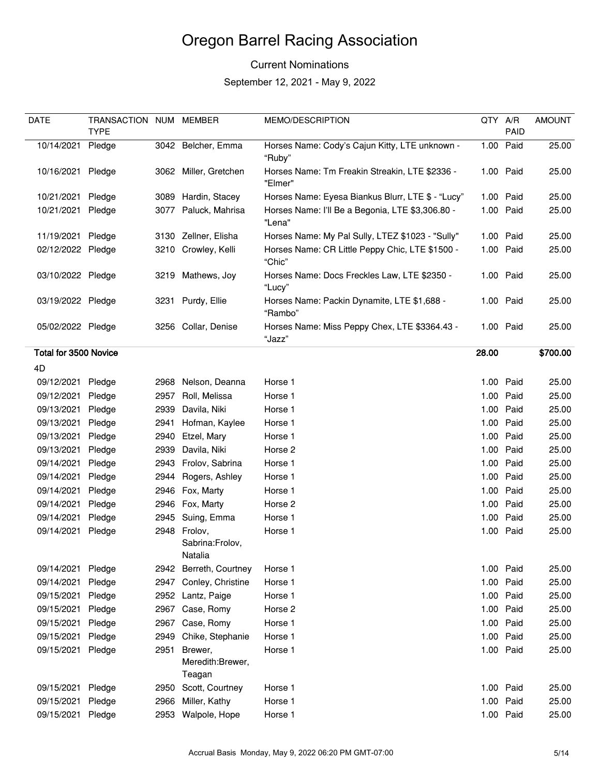### Current Nominations

| DATE                  | TRANSACTION NUM MEMBER |      |                                            | <b>MEMO/DESCRIPTION</b>                                    | QTY A/R |           | <b>AMOUNT</b> |
|-----------------------|------------------------|------|--------------------------------------------|------------------------------------------------------------|---------|-----------|---------------|
|                       | <b>TYPE</b>            |      |                                            |                                                            |         | PAID      |               |
| 10/14/2021            | Pledge                 |      | 3042 Belcher, Emma                         | Horses Name: Cody's Cajun Kitty, LTE unknown -<br>"Ruby"   |         | 1.00 Paid | 25.00         |
| 10/16/2021 Pledge     |                        |      | 3062 Miller, Gretchen                      | Horses Name: Tm Freakin Streakin, LTE \$2336 -<br>"Elmer"  |         | 1.00 Paid | 25.00         |
| 10/21/2021            | Pledge                 |      | 3089 Hardin, Stacey                        | Horses Name: Eyesa Biankus Blurr, LTE \$ - "Lucy"          |         | 1.00 Paid | 25.00         |
| 10/21/2021            | Pledge                 |      | 3077 Paluck, Mahrisa                       | Horses Name: I'll Be a Begonia, LTE \$3,306.80 -<br>"Lena" |         | 1.00 Paid | 25.00         |
| 11/19/2021 Pledge     |                        |      | 3130 Zellner, Elisha                       | Horses Name: My Pal Sully, LTEZ \$1023 - "Sully"           |         | 1.00 Paid | 25.00         |
| 02/12/2022 Pledge     |                        |      | 3210 Crowley, Kelli                        | Horses Name: CR Little Peppy Chic, LTE \$1500 -<br>"Chic"  |         | 1.00 Paid | 25.00         |
| 03/10/2022 Pledge     |                        |      | 3219 Mathews, Joy                          | Horses Name: Docs Freckles Law, LTE \$2350 -<br>"Lucy"     |         | 1.00 Paid | 25.00         |
| 03/19/2022 Pledge     |                        |      | 3231 Purdy, Ellie                          | Horses Name: Packin Dynamite, LTE \$1,688 -<br>"Rambo"     |         | 1.00 Paid | 25.00         |
| 05/02/2022 Pledge     |                        |      | 3256 Collar, Denise                        | Horses Name: Miss Peppy Chex, LTE \$3364.43 -<br>"Jazz"    |         | 1.00 Paid | 25.00         |
| Total for 3500 Novice |                        |      |                                            |                                                            | 28.00   |           | \$700.00      |
| 4D                    |                        |      |                                            |                                                            |         |           |               |
| 09/12/2021            | Pledge                 |      | 2968 Nelson, Deanna                        | Horse 1                                                    |         | 1.00 Paid | 25.00         |
| 09/12/2021            | Pledge                 |      | 2957 Roll, Melissa                         | Horse 1                                                    |         | 1.00 Paid | 25.00         |
| 09/13/2021            | Pledge                 | 2939 | Davila, Niki                               | Horse 1                                                    |         | 1.00 Paid | 25.00         |
| 09/13/2021            | Pledge                 | 2941 | Hofman, Kaylee                             | Horse 1                                                    |         | 1.00 Paid | 25.00         |
| 09/13/2021            | Pledge                 | 2940 | Etzel, Mary                                | Horse 1                                                    |         | 1.00 Paid | 25.00         |
| 09/13/2021            | Pledge                 | 2939 | Davila, Niki                               | Horse 2                                                    |         | 1.00 Paid | 25.00         |
| 09/14/2021            | Pledge                 | 2943 | Frolov, Sabrina                            | Horse 1                                                    |         | 1.00 Paid | 25.00         |
| 09/14/2021            | Pledge                 | 2944 | Rogers, Ashley                             | Horse 1                                                    |         | 1.00 Paid | 25.00         |
| 09/14/2021            | Pledge                 |      | 2946 Fox, Marty                            | Horse 1                                                    |         | 1.00 Paid | 25.00         |
| 09/14/2021            | Pledge                 |      | 2946 Fox, Marty                            | Horse 2                                                    |         | 1.00 Paid | 25.00         |
| 09/14/2021            | Pledge                 |      | 2945 Suing, Emma                           | Horse 1                                                    |         | 1.00 Paid | 25.00         |
| 09/14/2021            | Pledge                 |      | 2948 Frolov,<br>Sabrina:Frolov,<br>Natalia | Horse 1                                                    |         | 1.00 Paid | 25.00         |
| 09/14/2021            | Pledge                 |      | 2942 Berreth, Courtney                     | Horse 1                                                    |         | 1.00 Paid | 25.00         |
| 09/14/2021            | Pledge                 |      | 2947 Conley, Christine                     | Horse 1                                                    |         | 1.00 Paid | 25.00         |
| 09/15/2021            | Pledge                 |      | 2952 Lantz, Paige                          | Horse 1                                                    |         | 1.00 Paid | 25.00         |
| 09/15/2021            | Pledge                 | 2967 | Case, Romy                                 | Horse 2                                                    |         | 1.00 Paid | 25.00         |
| 09/15/2021            | Pledge                 |      | 2967 Case, Romy                            | Horse 1                                                    |         | 1.00 Paid | 25.00         |
| 09/15/2021            | Pledge                 | 2949 | Chike, Stephanie                           | Horse 1                                                    |         | 1.00 Paid | 25.00         |
| 09/15/2021            | Pledge                 | 2951 | Brewer,<br>Meredith:Brewer,<br>Teagan      | Horse 1                                                    |         | 1.00 Paid | 25.00         |
| 09/15/2021            | Pledge                 | 2950 | Scott, Courtney                            | Horse 1                                                    |         | 1.00 Paid | 25.00         |
| 09/15/2021            | Pledge                 | 2966 | Miller, Kathy                              | Horse 1                                                    |         | 1.00 Paid | 25.00         |
| 09/15/2021            | Pledge                 |      | 2953 Walpole, Hope                         | Horse 1                                                    |         | 1.00 Paid | 25.00         |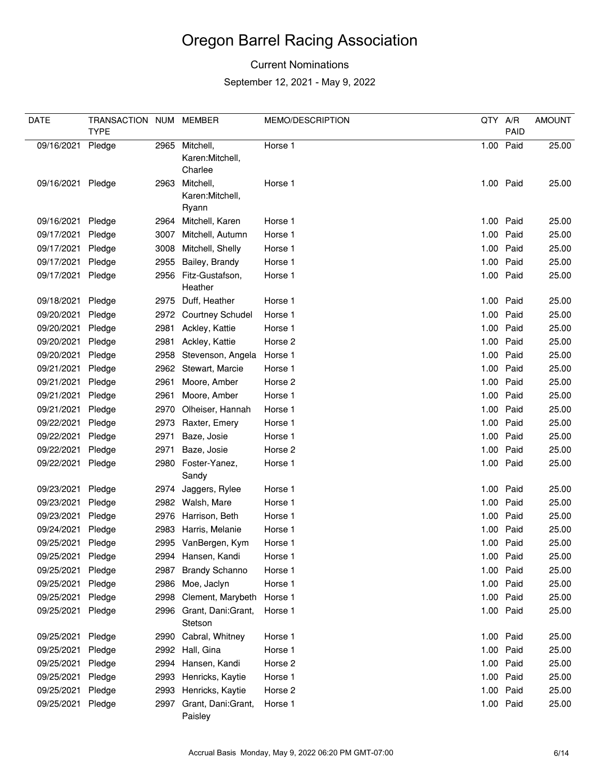### Current Nominations

| <b>DATE</b> | TRANSACTION NUM<br><b>TYPE</b> |      | MEMBER                                | MEMO/DESCRIPTION | QTY A/R | PAID      | <b>AMOUNT</b> |
|-------------|--------------------------------|------|---------------------------------------|------------------|---------|-----------|---------------|
| 09/16/2021  | Pledge                         | 2965 | Mitchell,                             | Horse 1          |         | 1.00 Paid | 25.00         |
|             |                                |      | Karen: Mitchell,<br>Charlee           |                  |         |           |               |
| 09/16/2021  | Pledge                         | 2963 | Mitchell,<br>Karen:Mitchell,<br>Ryann | Horse 1          |         | 1.00 Paid | 25.00         |
| 09/16/2021  | Pledge                         |      | 2964 Mitchell, Karen                  | Horse 1          |         | 1.00 Paid | 25.00         |
| 09/17/2021  | Pledge                         | 3007 | Mitchell, Autumn                      | Horse 1          |         | 1.00 Paid | 25.00         |
| 09/17/2021  | Pledge                         | 3008 | Mitchell, Shelly                      | Horse 1          |         | 1.00 Paid | 25.00         |
| 09/17/2021  | Pledge                         | 2955 | Bailey, Brandy                        | Horse 1          |         | 1.00 Paid | 25.00         |
| 09/17/2021  | Pledge                         |      | 2956 Fitz-Gustafson,<br>Heather       | Horse 1          |         | 1.00 Paid | 25.00         |
| 09/18/2021  | Pledge                         |      | 2975 Duff, Heather                    | Horse 1          |         | 1.00 Paid | 25.00         |
| 09/20/2021  | Pledge                         |      | 2972 Courtney Schudel                 | Horse 1          |         | 1.00 Paid | 25.00         |
| 09/20/2021  | Pledge                         |      | 2981 Ackley, Kattie                   | Horse 1          | 1.00    | Paid      | 25.00         |
| 09/20/2021  | Pledge                         | 2981 | Ackley, Kattie                        | Horse 2          |         | 1.00 Paid | 25.00         |
| 09/20/2021  | Pledge                         | 2958 | Stevenson, Angela                     | Horse 1          |         | 1.00 Paid | 25.00         |
| 09/21/2021  | Pledge                         |      | 2962 Stewart, Marcie                  | Horse 1          |         | 1.00 Paid | 25.00         |
| 09/21/2021  | Pledge                         | 2961 | Moore, Amber                          | Horse 2          |         | 1.00 Paid | 25.00         |
| 09/21/2021  | Pledge                         | 2961 | Moore, Amber                          | Horse 1          |         | 1.00 Paid | 25.00         |
| 09/21/2021  | Pledge                         | 2970 | Olheiser, Hannah                      | Horse 1          |         | 1.00 Paid | 25.00         |
| 09/22/2021  | Pledge                         | 2973 | Raxter, Emery                         | Horse 1          | 1.00    | Paid      | 25.00         |
| 09/22/2021  | Pledge                         | 2971 | Baze, Josie                           | Horse 1          |         | 1.00 Paid | 25.00         |
| 09/22/2021  | Pledge                         | 2971 | Baze, Josie                           | Horse 2          |         | 1.00 Paid | 25.00         |
| 09/22/2021  | Pledge                         |      | 2980 Foster-Yanez,                    | Horse 1          |         | 1.00 Paid | 25.00         |
|             |                                |      | Sandy                                 |                  |         |           |               |
| 09/23/2021  | Pledge                         | 2974 | Jaggers, Rylee                        | Horse 1          | 1.00    | Paid      | 25.00         |
| 09/23/2021  | Pledge                         |      | 2982 Walsh, Mare                      | Horse 1          |         | 1.00 Paid | 25.00         |
| 09/23/2021  | Pledge                         | 2976 | Harrison, Beth                        | Horse 1          | 1.00    | Paid      | 25.00         |
| 09/24/2021  | Pledge                         | 2983 | Harris, Melanie                       | Horse 1          | 1.00    | Paid      | 25.00         |
| 09/25/2021  | Pledge                         |      | 2995 VanBergen, Kym                   | Horse 1          |         | 1.00 Paid | 25.00         |
| 09/25/2021  | Pledge                         |      | 2994 Hansen, Kandi                    | Horse 1          |         | 1.00 Paid | 25.00         |
| 09/25/2021  | Pledge                         | 2987 | <b>Brandy Schanno</b>                 | Horse 1          |         | 1.00 Paid | 25.00         |
| 09/25/2021  | Pledge                         | 2986 | Moe, Jaclyn                           | Horse 1          |         | 1.00 Paid | 25.00         |
| 09/25/2021  | Pledge                         | 2998 | Clement, Marybeth                     | Horse 1          |         | 1.00 Paid | 25.00         |
| 09/25/2021  | Pledge                         |      | 2996 Grant, Dani:Grant,<br>Stetson    | Horse 1          |         | 1.00 Paid | 25.00         |
| 09/25/2021  | Pledge                         |      | 2990 Cabral, Whitney                  | Horse 1          |         | 1.00 Paid | 25.00         |
| 09/25/2021  | Pledge                         |      | 2992 Hall, Gina                       | Horse 1          |         | 1.00 Paid | 25.00         |
| 09/25/2021  | Pledge                         | 2994 | Hansen, Kandi                         | Horse 2          |         | 1.00 Paid | 25.00         |
| 09/25/2021  | Pledge                         | 2993 | Henricks, Kaytie                      | Horse 1          |         | 1.00 Paid | 25.00         |
| 09/25/2021  | Pledge                         |      | 2993 Henricks, Kaytie                 | Horse 2          |         | 1.00 Paid | 25.00         |
| 09/25/2021  | Pledge                         |      | 2997 Grant, Dani:Grant,<br>Paisley    | Horse 1          |         | 1.00 Paid | 25.00         |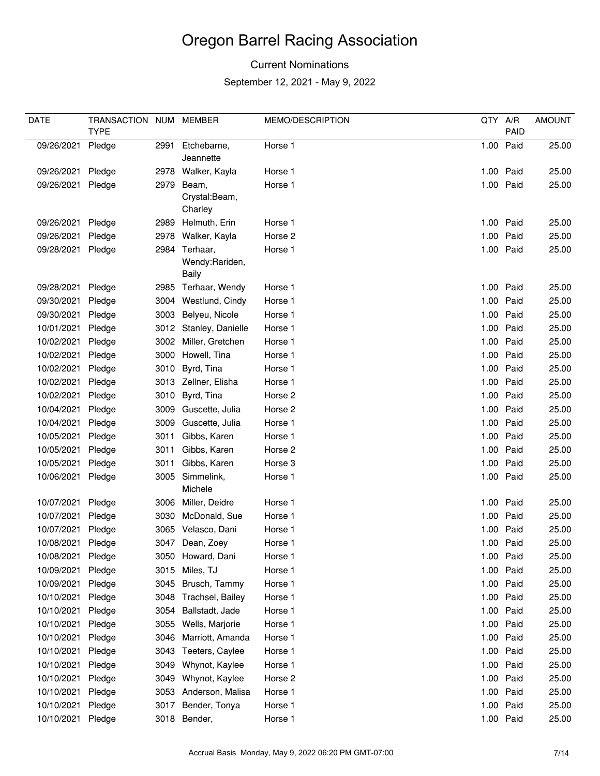### Current Nominations

| DATE       | TRANSACTION NUM MEMBER |      |                            | MEMO/DESCRIPTION | QTY A/R |           | <b>AMOUNT</b> |
|------------|------------------------|------|----------------------------|------------------|---------|-----------|---------------|
|            | <b>TYPE</b>            |      |                            |                  |         | PAID      |               |
| 09/26/2021 | Pledge                 | 2991 | Etchebarne,<br>Jeannette   | Horse 1          | 1.00    | Paid      | 25.00         |
| 09/26/2021 | Pledge                 |      | 2978 Walker, Kayla         | Horse 1          |         | 1.00 Paid | 25.00         |
| 09/26/2021 | Pledge                 | 2979 | Beam,                      | Horse 1          |         | 1.00 Paid | 25.00         |
|            |                        |      | Crystal:Beam,              |                  |         |           |               |
|            |                        |      | Charley                    |                  |         |           |               |
| 09/26/2021 | Pledge                 |      | 2989 Helmuth, Erin         | Horse 1          |         | 1.00 Paid | 25.00         |
| 09/26/2021 | Pledge                 |      | 2978 Walker, Kayla         | Horse 2          | 1.00    | Paid      | 25.00         |
| 09/28/2021 | Pledge                 |      | 2984 Terhaar,              | Horse 1          |         | 1.00 Paid | 25.00         |
|            |                        |      | Wendy:Rariden,<br>Baily    |                  |         |           |               |
| 09/28/2021 | Pledge                 |      | 2985 Terhaar, Wendy        | Horse 1          |         | 1.00 Paid | 25.00         |
| 09/30/2021 | Pledge                 |      | 3004 Westlund, Cindy       | Horse 1          | 1.00    | Paid      | 25.00         |
| 09/30/2021 | Pledge                 | 3003 | Belyeu, Nicole             | Horse 1          |         | 1.00 Paid | 25.00         |
| 10/01/2021 | Pledge                 |      | 3012 Stanley, Danielle     | Horse 1          | 1.00    | Paid      | 25.00         |
| 10/02/2021 | Pledge                 |      | 3002 Miller, Gretchen      | Horse 1          | 1.00    | Paid      | 25.00         |
| 10/02/2021 | Pledge                 |      | 3000 Howell, Tina          | Horse 1          |         | 1.00 Paid | 25.00         |
| 10/02/2021 | Pledge                 | 3010 | Byrd, Tina                 | Horse 1          |         | 1.00 Paid | 25.00         |
| 10/02/2021 | Pledge                 |      | 3013 Zellner, Elisha       | Horse 1          | 1.00    | Paid      | 25.00         |
| 10/02/2021 | Pledge                 | 3010 | Byrd, Tina                 | Horse 2          |         | 1.00 Paid | 25.00         |
| 10/04/2021 | Pledge                 |      | 3009 Guscette, Julia       | Horse 2          |         | 1.00 Paid | 25.00         |
| 10/04/2021 | Pledge                 |      | 3009 Guscette, Julia       | Horse 1          | 1.00    | Paid      | 25.00         |
| 10/05/2021 | Pledge                 | 3011 | Gibbs, Karen               | Horse 1          | 1.00    | Paid      | 25.00         |
| 10/05/2021 | Pledge                 | 3011 | Gibbs, Karen               | Horse 2          |         | 1.00 Paid | 25.00         |
| 10/05/2021 | Pledge                 | 3011 | Gibbs, Karen               | Horse 3          | 1.00    | Paid      | 25.00         |
| 10/06/2021 | Pledge                 |      | 3005 Simmelink,<br>Michele | Horse 1          |         | 1.00 Paid | 25.00         |
| 10/07/2021 | Pledge                 |      | 3006 Miller, Deidre        | Horse 1          |         | 1.00 Paid | 25.00         |
| 10/07/2021 | Pledge                 | 3030 | McDonald, Sue              | Horse 1          | 1.00    | Paid      | 25.00         |
| 10/07/2021 | Pledge                 |      | 3065 Velasco, Dani         | Horse 1          | 1.00    | Paid      | 25.00         |
| 10/08/2021 | Pledge                 | 3047 | Dean, Zoey                 | Horse 1          |         | 1.00 Paid | 25.00         |
| 10/08/2021 | Pledge                 |      | 3050 Howard, Dani          | Horse 1          |         | 1.00 Paid | 25.00         |
| 10/09/2021 | Pledge                 | 3015 | Miles, TJ                  | Horse 1          |         | 1.00 Paid | 25.00         |
| 10/09/2021 | Pledge                 | 3045 | Brusch, Tammy              | Horse 1          |         | 1.00 Paid | 25.00         |
| 10/10/2021 | Pledge                 | 3048 | Trachsel, Bailey           | Horse 1          |         | 1.00 Paid | 25.00         |
| 10/10/2021 | Pledge                 | 3054 | Ballstadt, Jade            | Horse 1          |         | 1.00 Paid | 25.00         |
| 10/10/2021 | Pledge                 | 3055 | Wells, Marjorie            | Horse 1          |         | 1.00 Paid | 25.00         |
| 10/10/2021 | Pledge                 | 3046 | Marriott, Amanda           | Horse 1          |         | 1.00 Paid | 25.00         |
| 10/10/2021 | Pledge                 | 3043 | Teeters, Caylee            | Horse 1          | 1.00    | Paid      | 25.00         |
| 10/10/2021 | Pledge                 | 3049 | Whynot, Kaylee             | Horse 1          |         | 1.00 Paid | 25.00         |
| 10/10/2021 | Pledge                 | 3049 | Whynot, Kaylee             | Horse 2          |         | 1.00 Paid | 25.00         |
| 10/10/2021 | Pledge                 | 3053 | Anderson, Malisa           | Horse 1          |         | 1.00 Paid | 25.00         |
| 10/10/2021 | Pledge                 | 3017 | Bender, Tonya              | Horse 1          |         | 1.00 Paid | 25.00         |
| 10/10/2021 | Pledge                 |      | 3018 Bender,               | Horse 1          |         | 1.00 Paid | 25.00         |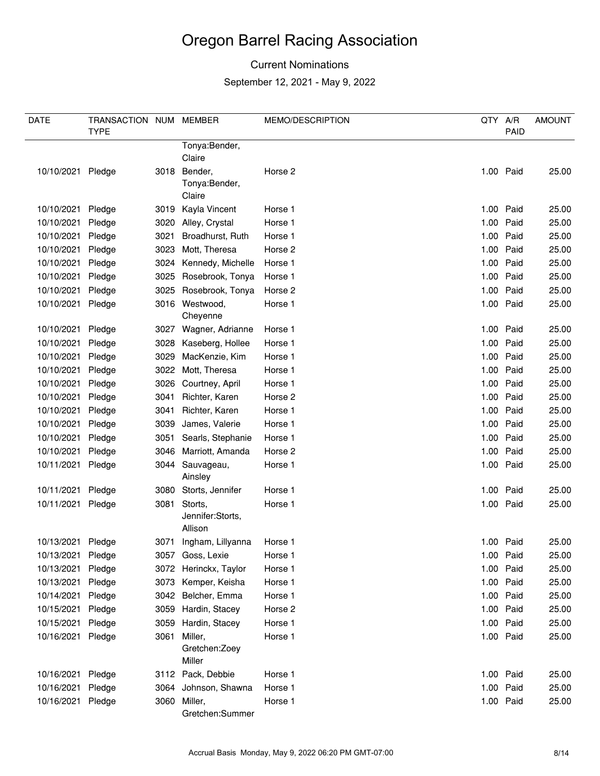### Current Nominations

| <b>DATE</b>       | TRANSACTION NUM |      | <b>MEMBER</b>               | MEMO/DESCRIPTION | QTY A/R |           | <b>AMOUNT</b> |
|-------------------|-----------------|------|-----------------------------|------------------|---------|-----------|---------------|
|                   | <b>TYPE</b>     |      |                             |                  |         | PAID      |               |
|                   |                 |      | Tonya: Bender,              |                  |         |           |               |
|                   |                 |      | Claire                      |                  |         |           |               |
| 10/10/2021 Pledge |                 |      | 3018 Bender,                | Horse 2          |         | 1.00 Paid | 25.00         |
|                   |                 |      | Tonya:Bender,               |                  |         |           |               |
|                   |                 |      | Claire                      |                  |         |           |               |
| 10/10/2021        | Pledge          | 3019 | Kayla Vincent               | Horse 1          |         | 1.00 Paid | 25.00         |
| 10/10/2021        | Pledge          |      | 3020 Alley, Crystal         | Horse 1          | 1.00    | Paid      | 25.00         |
| 10/10/2021        | Pledge          | 3021 | Broadhurst, Ruth            | Horse 1          | 1.00    | Paid      | 25.00         |
| 10/10/2021        | Pledge          | 3023 | Mott, Theresa               | Horse 2          |         | 1.00 Paid | 25.00         |
| 10/10/2021        | Pledge          | 3024 | Kennedy, Michelle           | Horse 1          |         | 1.00 Paid | 25.00         |
| 10/10/2021        | Pledge          | 3025 | Rosebrook, Tonya            | Horse 1          | 1.00    | Paid      | 25.00         |
| 10/10/2021        | Pledge          | 3025 | Rosebrook, Tonya            | Horse 2          | 1.00    | Paid      | 25.00         |
| 10/10/2021        | Pledge          |      | 3016 Westwood,<br>Cheyenne  | Horse 1          |         | 1.00 Paid | 25.00         |
| 10/10/2021        | Pledge          |      | 3027 Wagner, Adrianne       | Horse 1          |         | 1.00 Paid | 25.00         |
| 10/10/2021        | Pledge          | 3028 | Kaseberg, Hollee            | Horse 1          | 1.00    | Paid      | 25.00         |
| 10/10/2021        | Pledge          | 3029 | MacKenzie, Kim              | Horse 1          |         | 1.00 Paid | 25.00         |
| 10/10/2021        | Pledge          | 3022 | Mott, Theresa               | Horse 1          | 1.00    | Paid      | 25.00         |
| 10/10/2021        | Pledge          | 3026 | Courtney, April             | Horse 1          | 1.00    | Paid      | 25.00         |
| 10/10/2021        | Pledge          | 3041 | Richter, Karen              | Horse 2          |         | 1.00 Paid | 25.00         |
| 10/10/2021        | Pledge          | 3041 | Richter, Karen              | Horse 1          | 1.00    | Paid      | 25.00         |
| 10/10/2021        | Pledge          | 3039 | James, Valerie              | Horse 1          | 1.00    | Paid      | 25.00         |
| 10/10/2021        | Pledge          | 3051 | Searls, Stephanie           | Horse 1          |         | 1.00 Paid | 25.00         |
| 10/10/2021        | Pledge          | 3046 | Marriott, Amanda            | Horse 2          |         | 1.00 Paid | 25.00         |
| 10/11/2021        | Pledge          | 3044 | Sauvageau,<br>Ainsley       | Horse 1          |         | 1.00 Paid | 25.00         |
| 10/11/2021        | Pledge          | 3080 | Storts, Jennifer            | Horse 1          |         | 1.00 Paid | 25.00         |
| 10/11/2021        | Pledge          | 3081 | Storts,                     | Horse 1          |         | 1.00 Paid | 25.00         |
|                   |                 |      | Jennifer:Storts,<br>Allison |                  |         |           |               |
| 10/13/2021 Pledge |                 |      | 3071 Ingham, Lillyanna      | Horse 1          |         | 1.00 Paid | 25.00         |
| 10/13/2021        | Pledge          |      | 3057 Goss, Lexie            | Horse 1          |         | 1.00 Paid | 25.00         |
| 10/13/2021        | Pledge          |      | 3072 Herinckx, Taylor       | Horse 1          |         | 1.00 Paid | 25.00         |
| 10/13/2021        | Pledge          |      | 3073 Kemper, Keisha         | Horse 1          |         | 1.00 Paid | 25.00         |
| 10/14/2021        | Pledge          |      | 3042 Belcher, Emma          | Horse 1          |         | 1.00 Paid | 25.00         |
| 10/15/2021        | Pledge          | 3059 | Hardin, Stacey              | Horse 2          |         | 1.00 Paid | 25.00         |
| 10/15/2021        | Pledge          | 3059 | Hardin, Stacey              | Horse 1          |         | 1.00 Paid | 25.00         |
| 10/16/2021        | Pledge          | 3061 | Miller,                     | Horse 1          |         | 1.00 Paid | 25.00         |
|                   |                 |      | Gretchen: Zoey<br>Miller    |                  |         |           |               |
| 10/16/2021        | Pledge          |      | 3112 Pack, Debbie           | Horse 1          |         | 1.00 Paid | 25.00         |
| 10/16/2021        | Pledge          |      | 3064 Johnson, Shawna        | Horse 1          |         | 1.00 Paid | 25.00         |
| 10/16/2021        | Pledge          |      | 3060 Miller,                | Horse 1          |         | 1.00 Paid | 25.00         |
|                   |                 |      | Gretchen:Summer             |                  |         |           |               |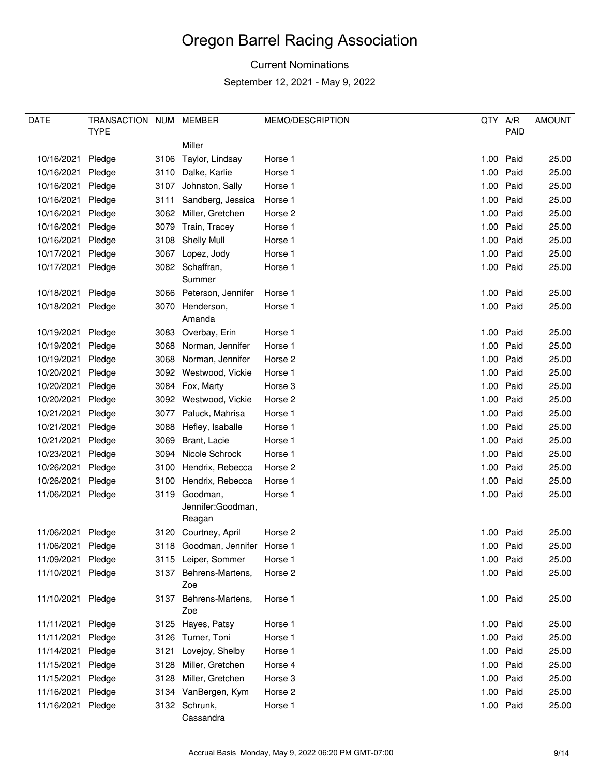### Current Nominations

| DATE              | TRANSACTION NUM |      | MEMBER                                       | MEMO/DESCRIPTION | QTY A/R |           | <b>AMOUNT</b> |
|-------------------|-----------------|------|----------------------------------------------|------------------|---------|-----------|---------------|
|                   | <b>TYPE</b>     |      |                                              |                  |         | PAID      |               |
|                   |                 |      | Miller                                       |                  |         |           |               |
| 10/16/2021        | Pledge          |      | 3106 Taylor, Lindsay                         | Horse 1          |         | 1.00 Paid | 25.00         |
| 10/16/2021        | Pledge          |      | 3110 Dalke, Karlie                           | Horse 1          |         | 1.00 Paid | 25.00         |
| 10/16/2021        | Pledge          | 3107 | Johnston, Sally                              | Horse 1          |         | 1.00 Paid | 25.00         |
| 10/16/2021        | Pledge          | 3111 | Sandberg, Jessica                            | Horse 1          | 1.00    | Paid      | 25.00         |
| 10/16/2021        | Pledge          |      | 3062 Miller, Gretchen                        | Horse 2          |         | 1.00 Paid | 25.00         |
| 10/16/2021        | Pledge          |      | 3079 Train, Tracey                           | Horse 1          |         | 1.00 Paid | 25.00         |
| 10/16/2021        | Pledge          |      | 3108 Shelly Mull                             | Horse 1          | 1.00    | Paid      | 25.00         |
| 10/17/2021        | Pledge          |      | 3067 Lopez, Jody                             | Horse 1          |         | 1.00 Paid | 25.00         |
| 10/17/2021        | Pledge          |      | 3082 Schaffran,<br>Summer                    | Horse 1          |         | 1.00 Paid | 25.00         |
| 10/18/2021        | Pledge          |      | 3066 Peterson, Jennifer                      | Horse 1          |         | 1.00 Paid | 25.00         |
| 10/18/2021        | Pledge          |      | 3070 Henderson,                              | Horse 1          |         | 1.00 Paid | 25.00         |
|                   |                 |      | Amanda                                       |                  |         |           |               |
| 10/19/2021        | Pledge          |      | 3083 Overbay, Erin                           | Horse 1          |         | 1.00 Paid | 25.00         |
| 10/19/2021        | Pledge          |      | 3068 Norman, Jennifer                        | Horse 1          |         | 1.00 Paid | 25.00         |
| 10/19/2021        | Pledge          |      | 3068 Norman, Jennifer                        | Horse 2          |         | 1.00 Paid | 25.00         |
| 10/20/2021        | Pledge          |      | 3092 Westwood, Vickie                        | Horse 1          |         | 1.00 Paid | 25.00         |
| 10/20/2021        | Pledge          |      | 3084 Fox, Marty                              | Horse 3          |         | 1.00 Paid | 25.00         |
| 10/20/2021        | Pledge          |      | 3092 Westwood, Vickie                        | Horse 2          | 1.00    | Paid      | 25.00         |
| 10/21/2021        | Pledge          |      | 3077 Paluck, Mahrisa                         | Horse 1          |         | 1.00 Paid | 25.00         |
| 10/21/2021        | Pledge          |      | 3088 Hefley, Isaballe                        | Horse 1          |         | 1.00 Paid | 25.00         |
| 10/21/2021        | Pledge          | 3069 | Brant, Lacie                                 | Horse 1          | 1.00    | Paid      | 25.00         |
| 10/23/2021        | Pledge          | 3094 | Nicole Schrock                               | Horse 1          |         | 1.00 Paid | 25.00         |
| 10/26/2021        | Pledge          | 3100 | Hendrix, Rebecca                             | Horse 2          |         | 1.00 Paid | 25.00         |
| 10/26/2021        | Pledge          | 3100 | Hendrix, Rebecca                             | Horse 1          | 1.00    | Paid      | 25.00         |
| 11/06/2021        | Pledge          |      | 3119 Goodman,<br>Jennifer:Goodman,<br>Reagan | Horse 1          |         | 1.00 Paid | 25.00         |
| 11/06/2021        | Pledge          |      | 3120 Courtney, April                         | Horse 2          |         | 1.00 Paid | 25.00         |
| 11/06/2021        | Pledge          |      | 3118 Goodman, Jennifer Horse 1               |                  |         | 1.00 Paid | 25.00         |
| 11/09/2021        | Pledge          |      | 3115 Leiper, Sommer                          | Horse 1          |         | 1.00 Paid | 25.00         |
| 11/10/2021        | Pledge          |      | 3137 Behrens-Martens,                        | Horse 2          |         | 1.00 Paid | 25.00         |
|                   |                 |      | Zoe                                          |                  |         |           |               |
| 11/10/2021 Pledge |                 |      | 3137 Behrens-Martens,<br>Zoe                 | Horse 1          |         | 1.00 Paid | 25.00         |
| 11/11/2021        | Pledge          |      | 3125 Hayes, Patsy                            | Horse 1          |         | 1.00 Paid | 25.00         |
| 11/11/2021        | Pledge          |      | 3126 Turner, Toni                            | Horse 1          |         | 1.00 Paid | 25.00         |
| 11/14/2021        | Pledge          | 3121 | Lovejoy, Shelby                              | Horse 1          |         | 1.00 Paid | 25.00         |
| 11/15/2021        | Pledge          |      | 3128 Miller, Gretchen                        | Horse 4          |         | 1.00 Paid | 25.00         |
| 11/15/2021        | Pledge          | 3128 | Miller, Gretchen                             | Horse 3          |         | 1.00 Paid | 25.00         |
| 11/16/2021        | Pledge          |      | 3134 VanBergen, Kym                          | Horse 2          |         | 1.00 Paid | 25.00         |
| 11/16/2021 Pledge |                 |      | 3132 Schrunk,<br>Cassandra                   | Horse 1          |         | 1.00 Paid | 25.00         |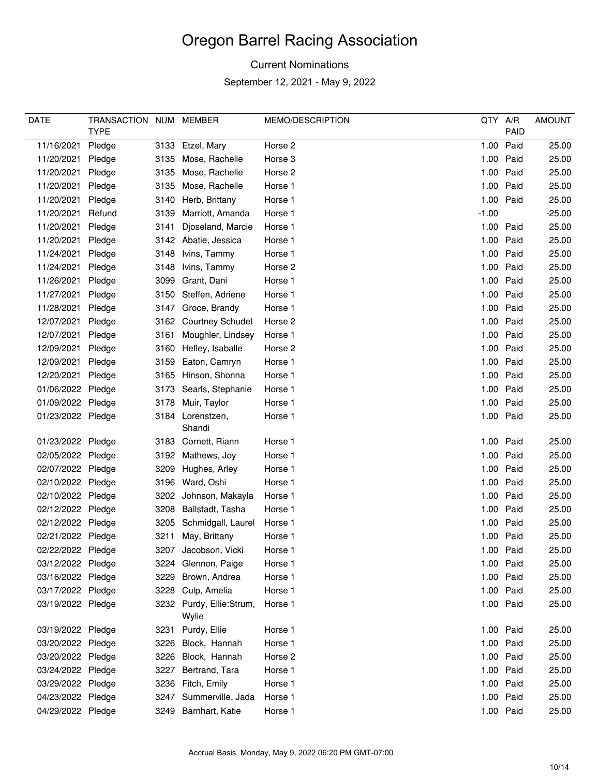### Current Nominations

| DATE              | TRANSACTION NUM |      | MEMBER                            | MEMO/DESCRIPTION | QTY A/R |           | <b>AMOUNT</b> |
|-------------------|-----------------|------|-----------------------------------|------------------|---------|-----------|---------------|
|                   | <b>TYPE</b>     |      |                                   |                  |         | PAID      |               |
| 11/16/2021        | Pledge          |      | 3133 Etzel, Mary                  | Horse 2          | 1.00    | Paid      | 25.00         |
| 11/20/2021        | Pledge          |      | 3135 Mose, Rachelle               | Horse 3          |         | 1.00 Paid | 25.00         |
| 11/20/2021        | Pledge          | 3135 | Mose, Rachelle                    | Horse 2          |         | 1.00 Paid | 25.00         |
| 11/20/2021        | Pledge          | 3135 | Mose, Rachelle                    | Horse 1          |         | 1.00 Paid | 25.00         |
| 11/20/2021        | Pledge          | 3140 | Herb, Brittany                    | Horse 1          |         | 1.00 Paid | 25.00         |
| 11/20/2021        | Refund          | 3139 | Marriott, Amanda                  | Horse 1          | $-1.00$ |           | $-25.00$      |
| 11/20/2021        | Pledge          | 3141 | Djoseland, Marcie                 | Horse 1          |         | 1.00 Paid | 25.00         |
| 11/20/2021        | Pledge          |      | 3142 Abatie, Jessica              | Horse 1          |         | 1.00 Paid | 25.00         |
| 11/24/2021        | Pledge          | 3148 | Ivins, Tammy                      | Horse 1          |         | 1.00 Paid | 25.00         |
| 11/24/2021        | Pledge          | 3148 | Ivins, Tammy                      | Horse 2          |         | 1.00 Paid | 25.00         |
| 11/26/2021        | Pledge          | 3099 | Grant, Dani                       | Horse 1          |         | 1.00 Paid | 25.00         |
| 11/27/2021        | Pledge          | 3150 | Steffen, Adriene                  | Horse 1          | 1.00    | Paid      | 25.00         |
| 11/28/2021        | Pledge          | 3147 | Groce, Brandy                     | Horse 1          |         | 1.00 Paid | 25.00         |
| 12/07/2021        | Pledge          |      | 3162 Courtney Schudel             | Horse 2          |         | 1.00 Paid | 25.00         |
| 12/07/2021        | Pledge          | 3161 | Moughler, Lindsey                 | Horse 1          |         | 1.00 Paid | 25.00         |
| 12/09/2021        | Pledge          | 3160 | Hefley, Isaballe                  | Horse 2          |         | 1.00 Paid | 25.00         |
| 12/09/2021        | Pledge          | 3159 | Eaton, Camryn                     | Horse 1          |         | 1.00 Paid | 25.00         |
| 12/20/2021        | Pledge          | 3165 | Hinson, Shonna                    | Horse 1          |         | 1.00 Paid | 25.00         |
| 01/06/2022 Pledge |                 | 3173 | Searls, Stephanie                 | Horse 1          |         | 1.00 Paid | 25.00         |
| 01/09/2022 Pledge |                 | 3178 | Muir, Taylor                      | Horse 1          |         | 1.00 Paid | 25.00         |
| 01/23/2022 Pledge |                 | 3184 | Lorenstzen,                       | Horse 1          |         | 1.00 Paid | 25.00         |
|                   |                 |      | Shandi                            |                  |         |           |               |
| 01/23/2022 Pledge |                 |      | 3183 Cornett, Riann               | Horse 1          |         | 1.00 Paid | 25.00         |
| 02/05/2022 Pledge |                 | 3192 | Mathews, Joy                      | Horse 1          |         | 1.00 Paid | 25.00         |
| 02/07/2022 Pledge |                 | 3209 | Hughes, Arley                     | Horse 1          |         | 1.00 Paid | 25.00         |
| 02/10/2022 Pledge |                 | 3196 | Ward, Oshi                        | Horse 1          | 1.00    | Paid      | 25.00         |
| 02/10/2022 Pledge |                 | 3202 | Johnson, Makayla                  | Horse 1          |         | 1.00 Paid | 25.00         |
| 02/12/2022 Pledge |                 | 3208 | Ballstadt, Tasha                  | Horse 1          |         | 1.00 Paid | 25.00         |
| 02/12/2022 Pledge |                 | 3205 | Schmidgall, Laurel                | Horse 1          |         | 1.00 Paid | 25.00         |
| 02/21/2022 Pledge |                 | 3211 | May, Brittany                     | Horse 1          |         | 1.00 Paid | 25.00         |
| 02/22/2022 Pledge |                 | 3207 | Jacobson, Vicki                   | Horse 1          |         | 1.00 Paid | 25.00         |
| 03/12/2022 Pledge |                 |      | 3224 Glennon, Paige               | Horse 1          |         | 1.00 Paid | 25.00         |
| 03/16/2022 Pledge |                 | 3229 | Brown, Andrea                     | Horse 1          |         | 1.00 Paid | 25.00         |
| 03/17/2022 Pledge |                 | 3228 | Culp, Amelia                      | Horse 1          |         | 1.00 Paid | 25.00         |
| 03/19/2022 Pledge |                 |      | 3232 Purdy, Ellie:Strum,<br>Wylie | Horse 1          |         | 1.00 Paid | 25.00         |
| 03/19/2022 Pledge |                 |      | 3231 Purdy, Ellie                 | Horse 1          |         | 1.00 Paid | 25.00         |
| 03/20/2022 Pledge |                 | 3226 | Block, Hannah                     | Horse 1          |         | 1.00 Paid | 25.00         |
| 03/20/2022 Pledge |                 |      | 3226 Block, Hannah                | Horse 2          |         | 1.00 Paid | 25.00         |
| 03/24/2022 Pledge |                 | 3227 | Bertrand, Tara                    | Horse 1          |         | 1.00 Paid | 25.00         |
| 03/29/2022 Pledge |                 |      | 3236 Fitch, Emily                 | Horse 1          |         | 1.00 Paid | 25.00         |
| 04/23/2022 Pledge |                 |      | 3247 Summerville, Jada            | Horse 1          |         | 1.00 Paid | 25.00         |
| 04/29/2022 Pledge |                 |      | 3249 Barnhart, Katie              | Horse 1          |         | 1.00 Paid | 25.00         |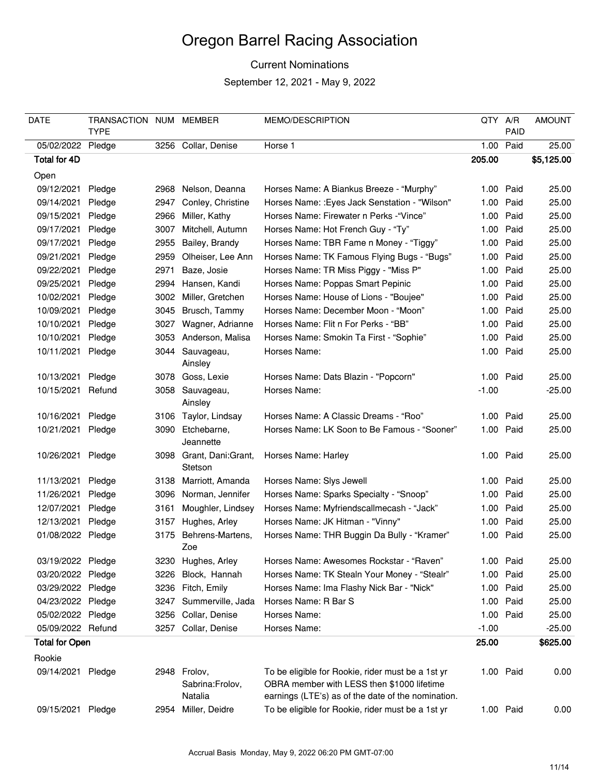#### Current Nominations

| <b>DATE</b>           | TRANSACTION NUM MEMBER<br><b>TYPE</b> |      |                                             | MEMO/DESCRIPTION                                                                                                                                      | QTY       | A/R<br><b>PAID</b> | <b>AMOUNT</b> |
|-----------------------|---------------------------------------|------|---------------------------------------------|-------------------------------------------------------------------------------------------------------------------------------------------------------|-----------|--------------------|---------------|
| 05/02/2022 Pledge     |                                       |      | 3256 Collar, Denise                         | Horse 1                                                                                                                                               | 1.00      | Paid               | 25.00         |
| Total for 4D          |                                       |      |                                             |                                                                                                                                                       |           |                    | \$5,125.00    |
|                       |                                       |      |                                             |                                                                                                                                                       | 205.00    |                    |               |
| Open                  |                                       |      |                                             |                                                                                                                                                       |           |                    |               |
| 09/12/2021            | Pledge                                | 2968 | Nelson, Deanna                              | Horses Name: A Biankus Breeze - "Murphy"                                                                                                              | 1.00      | Paid               | 25.00         |
| 09/14/2021            | Pledge                                |      | 2947 Conley, Christine                      | Horses Name: : Eyes Jack Senstation - "Wilson"                                                                                                        |           | 1.00 Paid          | 25.00         |
| 09/15/2021            | Pledge                                |      | 2966 Miller, Kathy                          | Horses Name: Firewater n Perks - "Vince"                                                                                                              | 1.00      | Paid               | 25.00         |
| 09/17/2021            | Pledge                                | 3007 | Mitchell, Autumn                            | Horses Name: Hot French Guy - "Ty"                                                                                                                    | 1.00      | Paid               | 25.00         |
| 09/17/2021            | Pledge                                | 2955 | Bailey, Brandy                              | Horses Name: TBR Fame n Money - "Tiggy"                                                                                                               | 1.00 Paid |                    | 25.00         |
| 09/21/2021            | Pledge                                | 2959 | Olheiser, Lee Ann                           | Horses Name: TK Famous Flying Bugs - "Bugs"                                                                                                           | 1.00      | Paid               | 25.00         |
| 09/22/2021            | Pledge                                | 2971 | Baze, Josie                                 | Horses Name: TR Miss Piggy - "Miss P"                                                                                                                 | 1.00      | Paid               | 25.00         |
| 09/25/2021            | Pledge                                |      | 2994 Hansen, Kandi                          | Horses Name: Poppas Smart Pepinic                                                                                                                     | 1.00 Paid |                    | 25.00         |
| 10/02/2021            | Pledge                                |      | 3002 Miller, Gretchen                       | Horses Name: House of Lions - "Boujee"                                                                                                                | 1.00 Paid |                    | 25.00         |
| 10/09/2021            | Pledge                                |      | 3045 Brusch, Tammy                          | Horses Name: December Moon - "Moon"                                                                                                                   | 1.00      | Paid               | 25.00         |
| 10/10/2021            | Pledge                                |      | 3027 Wagner, Adrianne                       | Horses Name: Flit n For Perks - "BB"                                                                                                                  | 1.00      | Paid               | 25.00         |
| 10/10/2021            | Pledge                                |      | 3053 Anderson, Malisa                       | Horses Name: Smokin Ta First - "Sophie"                                                                                                               | 1.00      | Paid               | 25.00         |
| 10/11/2021            | Pledge                                |      | 3044 Sauvageau,<br>Ainsley                  | Horses Name:                                                                                                                                          | 1.00 Paid |                    | 25.00         |
| 10/13/2021            | Pledge                                |      | 3078 Goss, Lexie                            | Horses Name: Dats Blazin - "Popcorn"                                                                                                                  | 1.00 Paid |                    | 25.00         |
| 10/15/2021            | Refund                                |      | 3058 Sauvageau,<br>Ainsley                  | Horses Name:                                                                                                                                          | $-1.00$   |                    | $-25.00$      |
| 10/16/2021            | Pledge                                |      | 3106 Taylor, Lindsay                        | Horses Name: A Classic Dreams - "Roo"                                                                                                                 | 1.00 Paid |                    | 25.00         |
| 10/21/2021            | Pledge                                |      | 3090 Etchebarne,<br>Jeannette               | Horses Name: LK Soon to Be Famous - "Sooner"                                                                                                          | 1.00      | Paid               | 25.00         |
| 10/26/2021            | Pledge                                |      | 3098 Grant, Dani:Grant,<br>Stetson          | Horses Name: Harley                                                                                                                                   | 1.00 Paid |                    | 25.00         |
| 11/13/2021            | Pledge                                |      | 3138 Marriott, Amanda                       | Horses Name: Slys Jewell                                                                                                                              | 1.00 Paid |                    | 25.00         |
| 11/26/2021            | Pledge                                |      | 3096 Norman, Jennifer                       | Horses Name: Sparks Specialty - "Snoop"                                                                                                               | 1.00 Paid |                    | 25.00         |
| 12/07/2021            | Pledge                                | 3161 | Moughler, Lindsey                           | Horses Name: Myfriendscallmecash - "Jack"                                                                                                             |           | 1.00 Paid          | 25.00         |
| 12/13/2021            | Pledge                                |      | 3157 Hughes, Arley                          | Horses Name: JK Hitman - "Vinny"                                                                                                                      | 1.00      | Paid               | 25.00         |
| 01/08/2022 Pledge     |                                       | 3175 | Behrens-Martens,                            | Horses Name: THR Buggin Da Bully - "Kramer"                                                                                                           | 1.00      | Paid               | 25.00         |
|                       |                                       |      | Zoe                                         |                                                                                                                                                       |           |                    |               |
| 03/19/2022 Pledge     |                                       |      | 3230 Hughes, Arley                          | Horses Name: Awesomes Rockstar - "Raven"                                                                                                              | 1.00 Paid |                    | 25.00         |
| 03/20/2022 Pledge     |                                       |      | 3226 Block, Hannah                          | Horses Name: TK Stealn Your Money - "Stealr"                                                                                                          | 1.00      | Paid               | 25.00         |
| 03/29/2022 Pledge     |                                       |      | 3236 Fitch, Emily                           | Horses Name: Ima Flashy Nick Bar - "Nick"                                                                                                             | 1.00      | Paid               | 25.00         |
| 04/23/2022 Pledge     |                                       |      | 3247 Summerville, Jada                      | Horses Name: R Bar S                                                                                                                                  | 1.00 Paid |                    | 25.00         |
| 05/02/2022 Pledge     |                                       |      | 3256 Collar, Denise                         | Horses Name:                                                                                                                                          | 1.00 Paid |                    | 25.00         |
| 05/09/2022 Refund     |                                       |      | 3257 Collar, Denise                         | Horses Name:                                                                                                                                          | $-1.00$   |                    | $-25.00$      |
| <b>Total for Open</b> |                                       |      |                                             |                                                                                                                                                       | 25.00     |                    | \$625.00      |
| Rookie                |                                       |      |                                             |                                                                                                                                                       |           |                    |               |
| 09/14/2021 Pledge     |                                       |      | 2948 Frolov,<br>Sabrina: Frolov,<br>Natalia | To be eligible for Rookie, rider must be a 1st yr<br>OBRA member with LESS then \$1000 lifetime<br>earnings (LTE's) as of the date of the nomination. | 1.00 Paid |                    | 0.00          |
| 09/15/2021            | Pledge                                |      | 2954 Miller, Deidre                         | To be eligible for Rookie, rider must be a 1st yr                                                                                                     | 1.00 Paid |                    | 0.00          |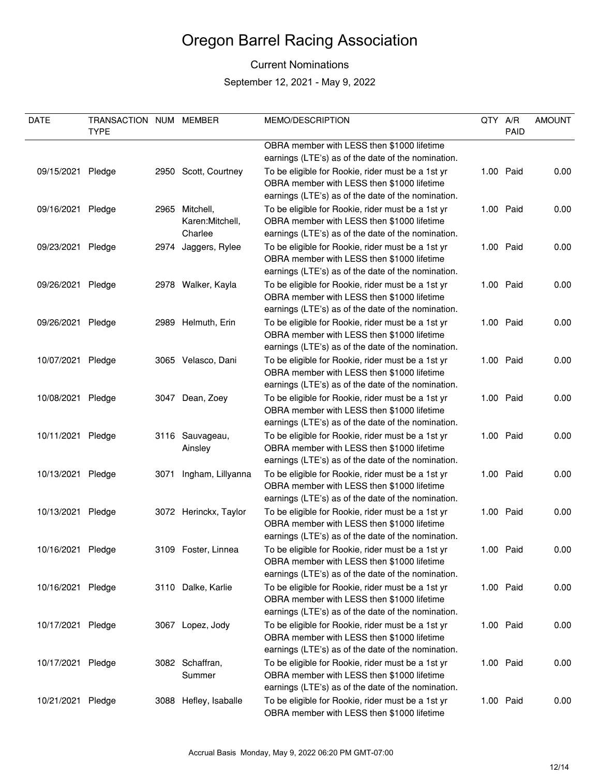#### Current Nominations

| DATE              | TRANSACTION NUM MEMBER<br><b>TYPE</b> |      |                       | MEMO/DESCRIPTION                                                                                 | QTY A/R | PAID      | <b>AMOUNT</b> |
|-------------------|---------------------------------------|------|-----------------------|--------------------------------------------------------------------------------------------------|---------|-----------|---------------|
|                   |                                       |      |                       | OBRA member with LESS then \$1000 lifetime                                                       |         |           |               |
|                   |                                       |      |                       | earnings (LTE's) as of the date of the nomination.                                               |         |           |               |
| 09/15/2021        | Pledge                                |      | 2950 Scott, Courtney  | To be eligible for Rookie, rider must be a 1st yr                                                |         | 1.00 Paid | 0.00          |
|                   |                                       |      |                       | OBRA member with LESS then \$1000 lifetime                                                       |         |           |               |
|                   |                                       |      |                       | earnings (LTE's) as of the date of the nomination.                                               |         |           |               |
| 09/16/2021        | Pledge                                |      | 2965 Mitchell,        | To be eligible for Rookie, rider must be a 1st yr                                                |         | 1.00 Paid | 0.00          |
|                   |                                       |      | Karen: Mitchell,      | OBRA member with LESS then \$1000 lifetime                                                       |         |           |               |
|                   |                                       |      | Charlee               | earnings (LTE's) as of the date of the nomination.                                               |         |           |               |
| 09/23/2021        | Pledge                                |      | 2974 Jaggers, Rylee   | To be eligible for Rookie, rider must be a 1st yr                                                |         | 1.00 Paid | 0.00          |
|                   |                                       |      |                       | OBRA member with LESS then \$1000 lifetime                                                       |         |           |               |
|                   |                                       |      |                       | earnings (LTE's) as of the date of the nomination.                                               |         |           |               |
|                   |                                       |      |                       |                                                                                                  |         |           |               |
| 09/26/2021        | Pledge                                |      | 2978 Walker, Kayla    | To be eligible for Rookie, rider must be a 1st yr                                                |         | 1.00 Paid | 0.00          |
|                   |                                       |      |                       | OBRA member with LESS then \$1000 lifetime<br>earnings (LTE's) as of the date of the nomination. |         |           |               |
|                   |                                       |      |                       |                                                                                                  |         |           |               |
| 09/26/2021        | Pledge                                |      | 2989 Helmuth, Erin    | To be eligible for Rookie, rider must be a 1st yr<br>OBRA member with LESS then \$1000 lifetime  |         | 1.00 Paid | 0.00          |
|                   |                                       |      |                       |                                                                                                  |         |           |               |
|                   |                                       |      |                       | earnings (LTE's) as of the date of the nomination.                                               |         |           |               |
| 10/07/2021        | Pledge                                |      | 3065 Velasco, Dani    | To be eligible for Rookie, rider must be a 1st yr                                                |         | 1.00 Paid | 0.00          |
|                   |                                       |      |                       | OBRA member with LESS then \$1000 lifetime                                                       |         |           |               |
|                   |                                       |      |                       | earnings (LTE's) as of the date of the nomination.                                               |         |           |               |
| 10/08/2021        | Pledge                                |      | 3047 Dean, Zoey       | To be eligible for Rookie, rider must be a 1st yr                                                |         | 1.00 Paid | 0.00          |
|                   |                                       |      |                       | OBRA member with LESS then \$1000 lifetime                                                       |         |           |               |
|                   |                                       |      |                       | earnings (LTE's) as of the date of the nomination.                                               |         |           |               |
| 10/11/2021        | Pledge                                |      | 3116 Sauvageau,       | To be eligible for Rookie, rider must be a 1st yr                                                |         | 1.00 Paid | 0.00          |
|                   |                                       |      | Ainsley               | OBRA member with LESS then \$1000 lifetime                                                       |         |           |               |
|                   |                                       |      |                       | earnings (LTE's) as of the date of the nomination.                                               |         |           |               |
| 10/13/2021        | Pledge                                | 3071 | Ingham, Lillyanna     | To be eligible for Rookie, rider must be a 1st yr                                                |         | 1.00 Paid | 0.00          |
|                   |                                       |      |                       | OBRA member with LESS then \$1000 lifetime                                                       |         |           |               |
|                   |                                       |      |                       | earnings (LTE's) as of the date of the nomination.                                               |         |           |               |
| 10/13/2021        | Pledge                                |      | 3072 Herinckx, Taylor | To be eligible for Rookie, rider must be a 1st yr                                                |         | 1.00 Paid | 0.00          |
|                   |                                       |      |                       | OBRA member with LESS then \$1000 lifetime                                                       |         |           |               |
|                   |                                       |      |                       | earnings (LTE's) as of the date of the nomination.                                               |         |           |               |
| 10/16/2021        | Pledge                                |      | 3109 Foster, Linnea   | To be eligible for Rookie, rider must be a 1st yr                                                |         | 1.00 Paid | 0.00          |
|                   |                                       |      |                       | OBRA member with LESS then \$1000 lifetime                                                       |         |           |               |
|                   |                                       |      |                       | earnings (LTE's) as of the date of the nomination.                                               |         |           |               |
| 10/16/2021 Pledge |                                       |      | 3110 Dalke, Karlie    | To be eligible for Rookie, rider must be a 1st yr                                                |         | 1.00 Paid | 0.00          |
|                   |                                       |      |                       | OBRA member with LESS then \$1000 lifetime                                                       |         |           |               |
|                   |                                       |      |                       | earnings (LTE's) as of the date of the nomination.                                               |         |           |               |
| 10/17/2021        | Pledge                                |      | 3067 Lopez, Jody      | To be eligible for Rookie, rider must be a 1st yr                                                |         | 1.00 Paid | 0.00          |
|                   |                                       |      |                       | OBRA member with LESS then \$1000 lifetime                                                       |         |           |               |
|                   |                                       |      |                       | earnings (LTE's) as of the date of the nomination.                                               |         |           |               |
| 10/17/2021        | Pledge                                |      | 3082 Schaffran,       | To be eligible for Rookie, rider must be a 1st yr                                                |         | 1.00 Paid | 0.00          |
|                   |                                       |      | Summer                | OBRA member with LESS then \$1000 lifetime                                                       |         |           |               |
|                   |                                       |      |                       | earnings (LTE's) as of the date of the nomination.                                               |         |           |               |
| 10/21/2021        | Pledge                                |      | 3088 Hefley, Isaballe | To be eligible for Rookie, rider must be a 1st yr                                                |         | 1.00 Paid | 0.00          |
|                   |                                       |      |                       | OBRA member with LESS then \$1000 lifetime                                                       |         |           |               |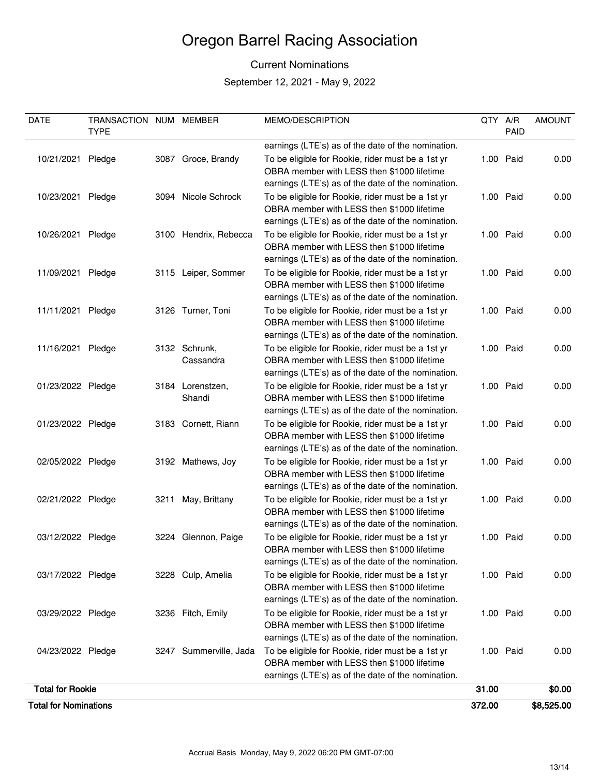#### Current Nominations

| DATE                         | TRANSACTION NUM MEMBER<br><b>TYPE</b> |                        | MEMO/DESCRIPTION                                                                                 | QTY A/R | PAID      | <b>AMOUNT</b> |
|------------------------------|---------------------------------------|------------------------|--------------------------------------------------------------------------------------------------|---------|-----------|---------------|
|                              |                                       |                        | earnings (LTE's) as of the date of the nomination.                                               |         |           |               |
| 10/21/2021                   | Pledge                                | 3087 Groce, Brandy     | To be eligible for Rookie, rider must be a 1st yr                                                |         | 1.00 Paid | 0.00          |
|                              |                                       |                        | OBRA member with LESS then \$1000 lifetime                                                       |         |           |               |
|                              |                                       |                        | earnings (LTE's) as of the date of the nomination.                                               |         |           |               |
| 10/23/2021                   | Pledge                                | 3094 Nicole Schrock    | To be eligible for Rookie, rider must be a 1st yr                                                |         | 1.00 Paid | 0.00          |
|                              |                                       |                        | OBRA member with LESS then \$1000 lifetime                                                       |         |           |               |
|                              |                                       |                        | earnings (LTE's) as of the date of the nomination.                                               |         |           |               |
| 10/26/2021                   | Pledge                                | 3100 Hendrix, Rebecca  | To be eligible for Rookie, rider must be a 1st yr                                                |         | 1.00 Paid | 0.00          |
|                              |                                       |                        | OBRA member with LESS then \$1000 lifetime                                                       |         |           |               |
|                              |                                       |                        | earnings (LTE's) as of the date of the nomination.                                               |         |           |               |
| 11/09/2021                   | Pledge                                | 3115 Leiper, Sommer    | To be eligible for Rookie, rider must be a 1st yr                                                |         | 1.00 Paid | 0.00          |
|                              |                                       |                        | OBRA member with LESS then \$1000 lifetime                                                       |         |           |               |
|                              |                                       |                        | earnings (LTE's) as of the date of the nomination.                                               |         |           |               |
| 11/11/2021 Pledge            |                                       | 3126 Turner, Toni      | To be eligible for Rookie, rider must be a 1st yr                                                |         | 1.00 Paid | 0.00          |
|                              |                                       |                        | OBRA member with LESS then \$1000 lifetime<br>earnings (LTE's) as of the date of the nomination. |         |           |               |
| 11/16/2021 Pledge            |                                       | 3132 Schrunk,          | To be eligible for Rookie, rider must be a 1st yr                                                |         | 1.00 Paid | 0.00          |
|                              |                                       | Cassandra              | OBRA member with LESS then \$1000 lifetime                                                       |         |           |               |
|                              |                                       |                        | earnings (LTE's) as of the date of the nomination.                                               |         |           |               |
| 01/23/2022 Pledge            |                                       | 3184 Lorenstzen,       | To be eligible for Rookie, rider must be a 1st yr                                                |         | 1.00 Paid | 0.00          |
|                              |                                       | Shandi                 | OBRA member with LESS then \$1000 lifetime                                                       |         |           |               |
|                              |                                       |                        | earnings (LTE's) as of the date of the nomination.                                               |         |           |               |
| 01/23/2022 Pledge            |                                       | 3183 Cornett, Riann    | To be eligible for Rookie, rider must be a 1st yr                                                |         | 1.00 Paid | 0.00          |
|                              |                                       |                        | OBRA member with LESS then \$1000 lifetime                                                       |         |           |               |
|                              |                                       |                        | earnings (LTE's) as of the date of the nomination.                                               |         |           |               |
| 02/05/2022 Pledge            |                                       | 3192 Mathews, Joy      | To be eligible for Rookie, rider must be a 1st yr                                                |         | 1.00 Paid | 0.00          |
|                              |                                       |                        | OBRA member with LESS then \$1000 lifetime                                                       |         |           |               |
|                              |                                       |                        | earnings (LTE's) as of the date of the nomination.                                               |         |           |               |
| 02/21/2022 Pledge            |                                       | 3211 May, Brittany     | To be eligible for Rookie, rider must be a 1st yr                                                |         | 1.00 Paid | 0.00          |
|                              |                                       |                        | OBRA member with LESS then \$1000 lifetime                                                       |         |           |               |
|                              |                                       |                        | earnings (LTE's) as of the date of the nomination.                                               |         |           |               |
| 03/12/2022 Pledge            |                                       | 3224 Glennon, Paige    | To be eligible for Rookie, rider must be a 1st yr<br>OBRA member with LESS then \$1000 lifetime  |         | 1.00 Paid | 0.00          |
|                              |                                       |                        | earnings (LTE's) as of the date of the nomination.                                               |         |           |               |
| 03/17/2022 Pledge            |                                       | 3228 Culp, Amelia      | To be eligible for Rookie, rider must be a 1st yr                                                |         | 1.00 Paid | 0.00          |
|                              |                                       |                        | OBRA member with LESS then \$1000 lifetime                                                       |         |           |               |
|                              |                                       |                        | earnings (LTE's) as of the date of the nomination.                                               |         |           |               |
| 03/29/2022 Pledge            |                                       | 3236 Fitch, Emily      | To be eligible for Rookie, rider must be a 1st yr                                                |         | 1.00 Paid | 0.00          |
|                              |                                       |                        | OBRA member with LESS then \$1000 lifetime                                                       |         |           |               |
|                              |                                       |                        | earnings (LTE's) as of the date of the nomination.                                               |         |           |               |
| 04/23/2022 Pledge            |                                       | 3247 Summerville, Jada | To be eligible for Rookie, rider must be a 1st yr                                                |         | 1.00 Paid | 0.00          |
|                              |                                       |                        | OBRA member with LESS then \$1000 lifetime                                                       |         |           |               |
|                              |                                       |                        | earnings (LTE's) as of the date of the nomination.                                               |         |           |               |
| <b>Total for Rookie</b>      |                                       |                        |                                                                                                  | 31.00   |           | \$0.00        |
| <b>Total for Nominations</b> |                                       |                        |                                                                                                  | 372.00  |           | \$8,525.00    |